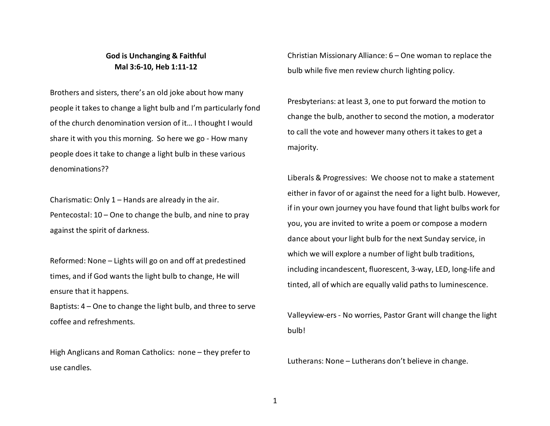## **God is Unchanging & Faithful Mal 3:6-10, Heb 1:11-12**

Brothers and sisters, there's an old joke about how many people it takes to change a light bulb and I'm particularly fond of the church denomination version of it… I thought I would share it with you this morning. So here we go - How many people does it take to change a light bulb in these various denominations??

Charismatic: Only 1 – Hands are already in the air.Pentecostal: 10 – One to change the bulb, and nine to pray against the spirit of darkness.

Reformed: None – Lights will go on and off at predestined times, and if God wants the light bulb to change, He will ensure that it happens.

Baptists: 4 – One to change the light bulb, and three to serve coffee and refreshments.

High Anglicans and Roman Catholics: none – they prefer to use candles.

Christian Missionary Alliance: 6 – One woman to replace the bulb while five men review church lighting policy.

Presbyterians: at least 3, one to put forward the motion to change the bulb, another to second the motion, a moderator to call the vote and however many others it takes to get a majority.

Liberals & Progressives: We choose not to make a statement either in favor of or against the need for a light bulb. However, if in your own journey you have found that light bulbs work for you, you are invited to write a poem or compose a modern dance about your light bulb for the next Sunday service, in which we will explore a number of light bulb traditions, including incandescent, fluorescent, 3-way, LED, long-life and tinted, all of which are equally valid paths to luminescence.

Valleyview-ers - No worries, Pastor Grant will change the light bulb!

Lutherans: None – Lutherans don't believe in change.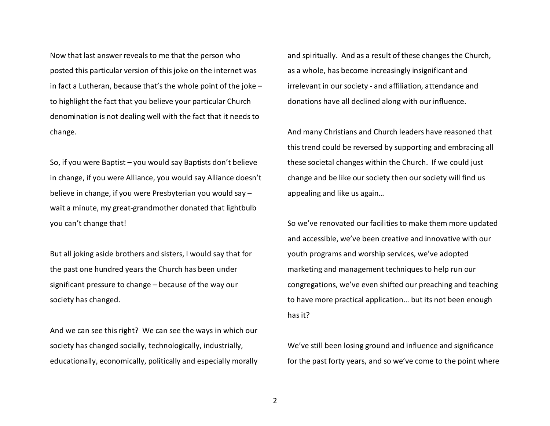Now that last answer reveals to me that the person who posted this particular version of this joke on the internet was in fact a Lutheran, because that's the whole point of the joke – to highlight the fact that you believe your particular Church denomination is not dealing well with the fact that it needs to change.

So, if you were Baptist – you would say Baptists don't believe in change, if you were Alliance, you would say Alliance doesn't believe in change, if you were Presbyterian you would say – wait a minute, my great-grandmother donated that lightbulb you can't change that!

But all joking aside brothers and sisters, I would say that for the past one hundred years the Church has been under significant pressure to change – because of the way our society has changed.

And we can see this right? We can see the ways in which our society has changed socially, technologically, industrially, educationally, economically, politically and especially morally

and spiritually. And as a result of these changes the Church, as a whole, has become increasingly insignificant and irrelevant in our society - and affiliation, attendance and donations have all declined along with our influence.

And many Christians and Church leaders have reasoned that this trend could be reversed by supporting and embracing all these societal changes within the Church. If we could just change and be like our society then our society will find us appealing and like us again…

So we've renovated our facilities to make them more updated and accessible, we've been creative and innovative with our youth programs and worship services, we've adopted marketing and management techniques to help run ourcongregations, we've even shifted our preaching and teaching to have more practical application… but its not been enough has it?

We've still been losing ground and influence and significance for the past forty years, and so we've come to the point where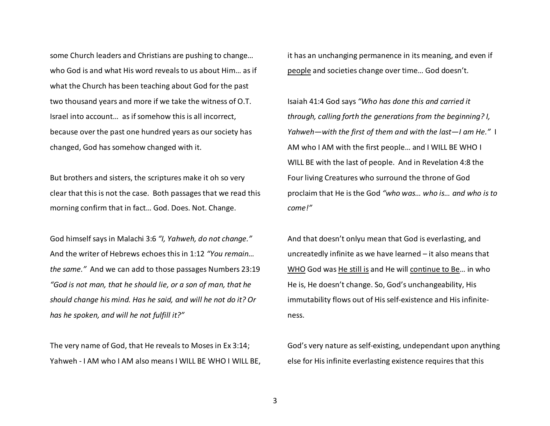some Church leaders and Christians are pushing to change… who God is and what His word reveals to us about Him… as if what the Church has been teaching about God for the past two thousand years and more if we take the witness of O.T. Israel into account… as if somehow this is all incorrect, because over the past one hundred years as our society has changed, God has somehow changed with it.

But brothers and sisters, the scriptures make it oh so very clear that this is not the case. Both passages that we read this morning confirm that in fact… God. Does. Not. Change.

God himself says in Malachi 3:6 *"I, Yahweh, do not change."*And the writer of Hebrews echoes this in 1:12 *"You remain… the same."* And we can add to those passages Numbers 23:19 *"God is not man, that he should lie, or a son of man, that he should change his mind. Has he said, and will he not do it? Or has he spoken, and will he not fulfill it?"*

The very name of God, that He reveals to Moses in Ex 3:14; Yahweh - I AM who I AM also means I WILL BE WHO I WILL BE, it has an unchanging permanence in its meaning, and even if people and societies change over time… God doesn't.

Isaiah 41:4 God says *"Who has done this and carried it through, calling forth the generations from the beginning? I, Yahweh—with the first of them and with the last—I am He."* I AM who I AM with the first people… and I WILL BE WHO I WILL BE with the last of people. And in Revelation 4:8 the Four living Creatures who surround the throne of God proclaim that He is the God *"who was… who is… and who is to come!"* 

And that doesn't onlyu mean that God is everlasting, and uncreatedly infinite as we have learned – it also means that WHO God was He still is and He will continue to Be… in who He is, He doesn't change. So, God's unchangeability, Hisimmutability flows out of His self-existence and His infiniteness.

God's very nature as self-existing, undependant upon anything else for His infinite everlasting existence requires that this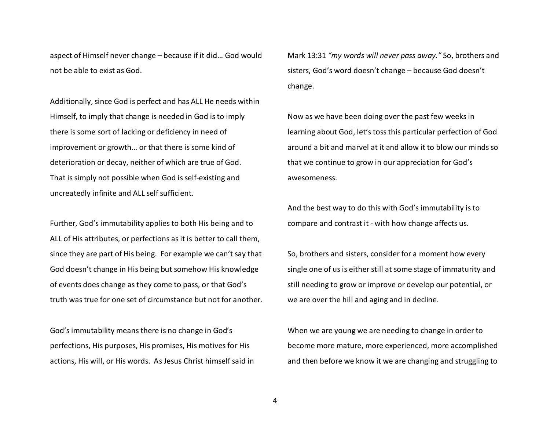aspect of Himself never change – because if it did… God would not be able to exist as God.

Additionally, since God is perfect and has ALL He needs within Himself, to imply that change is needed in God is to imply there is some sort of lacking or deficiency in need of improvement or growth… or that there is some kind of deterioration or decay, neither of which are true of God. That is simply not possible when God is self-existing and uncreatedly infinite and ALL self sufficient.

Further, God's immutability applies to both His being and to ALL of His attributes, or perfections as it is better to call them, since they are part of His being. For example we can't say that God doesn't change in His being but somehow His knowledge of events does change as they come to pass, or that God's truth was true for one set of circumstance but not for another.

God's immutability means there is no change in God's perfections, His purposes, His promises, His motives for His actions, His will, or His words. As Jesus Christ himself said in

Mark 13:31 *"my words will never pass away."* So, brothers and sisters, God's word doesn't change – because God doesn't change.

Now as we have been doing over the past few weeks in learning about God, let's toss this particular perfection of God around a bit and marvel at it and allow it to blow our minds so that we continue to grow in our appreciation for God's awesomeness.

And the best way to do this with God's immutability is to compare and contrast it - with how change affects us.

So, brothers and sisters, consider for a moment how every single one of us is either still at some stage of immaturity and still needing to grow or improve or develop our potential, or we are over the hill and aging and in decline.

When we are young we are needing to change in order to become more mature, more experienced, more accomplished and then before we know it we are changing and struggling to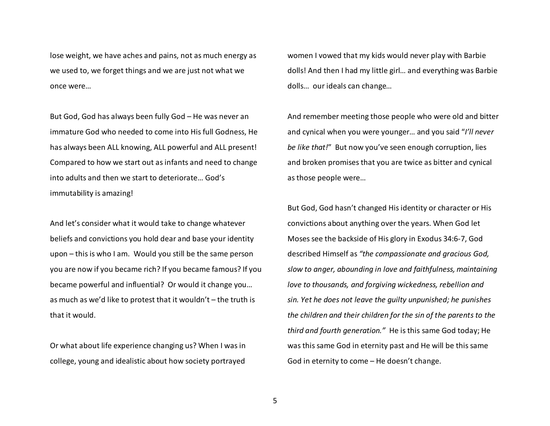lose weight, we have aches and pains, not as much energy as we used to, we forget things and we are just not what we once were…

But God, God has always been fully God – He was never an immature God who needed to come into His full Godness, He has always been ALL knowing, ALL powerful and ALL present! Compared to how we start out as infants and need to change into adults and then we start to deteriorate… God's immutability is amazing!

And let's consider what it would take to change whatever beliefs and convictions you hold dear and base your identity upon – this is who I am. Would you still be the same person you are now if you became rich? If you became famous? If you became powerful and influential? Or would it change you… as much as we'd like to protest that it wouldn't – the truth is that it would.

Or what about life experience changing us? When I was in college, young and idealistic about how society portrayed

women I vowed that my kids would never play with Barbie dolls! And then I had my little girl… and everything was Barbie dolls… our ideals can change…

And remember meeting those people who were old and bitter and cynical when you were younger… and you said "*I'll never be like that!*" But now you've seen enough corruption, lies and broken promises that you are twice as bitter and cynical as those people were…

But God, God hasn't changed His identity or character or His convictions about anything over the years. When God let Moses see the backside of His glory in Exodus 34:6-7, God described Himself as *"the compassionate and gracious God, slow to anger, abounding in love and faithfulness, maintaining love to thousands, and forgiving wickedness, rebellion and sin. Yet he does not leave the guilty unpunished; he punishes the children and their children for the sin of the parents to the third and fourth generation."* He is this same God today; He was this same God in eternity past and He will be this same God in eternity to come – He doesn't change.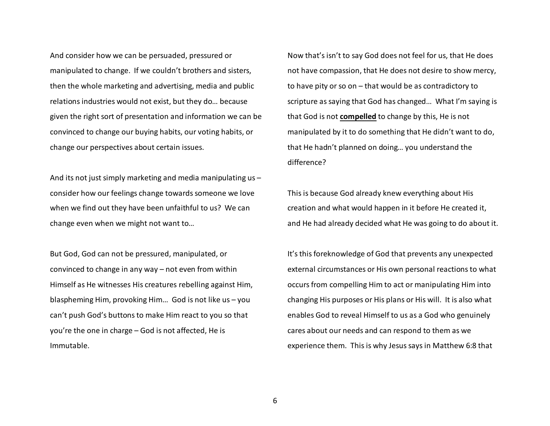And consider how we can be persuaded, pressured or manipulated to change. If we couldn't brothers and sisters, then the whole marketing and advertising, media and public relations industries would not exist, but they do… because given the right sort of presentation and information we can be convinced to change our buying habits, our voting habits, or change our perspectives about certain issues.

And its not just simply marketing and media manipulating us – consider how our feelings change towards someone we love when we find out they have been unfaithful to us? We can change even when we might not want to…

But God, God can not be pressured, manipulated, or convinced to change in any way – not even from within Himself as He witnesses His creatures rebelling against Him, blaspheming Him, provoking Him… God is not like us – you can't push God's buttons to make Him react to you so that you're the one in charge – God is not affected, He isImmutable.

Now that's isn't to say God does not feel for us, that He does not have compassion, that He does not desire to show mercy, to have pity or so on – that would be as contradictory to scripture as saying that God has changed… What I'm saying is that God is not **compelled** to change by this, He is not manipulated by it to do something that He didn't want to do, that He hadn't planned on doing… you understand the difference?

This is because God already knew everything about His creation and what would happen in it before He created it, and He had already decided what He was going to do about it.

It's this foreknowledge of God that prevents any unexpected external circumstances or His own personal reactions to what occurs from compelling Him to act or manipulating Him into changing His purposes or His plans or His will. It is also what enables God to reveal Himself to us as a God who genuinely cares about our needs and can respond to them as weexperience them. This is why Jesus says in Matthew 6:8 that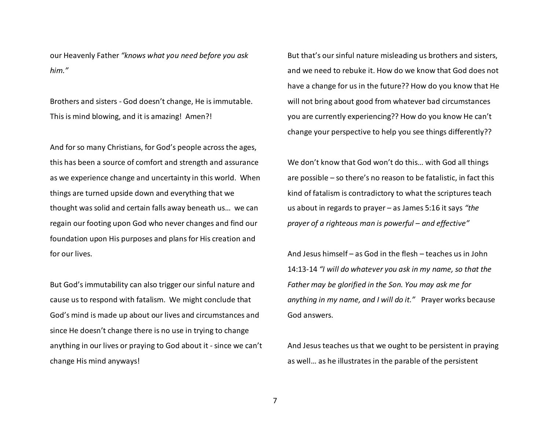our Heavenly Father *"knows what you need before you ask him."* 

Brothers and sisters - God doesn't change, He is immutable. This is mind blowing, and it is amazing! Amen?!

And for so many Christians, for God's people across the ages, this has been a source of comfort and strength and assurance as we experience change and uncertainty in this world. When things are turned upside down and everything that we thought was solid and certain falls away beneath us… we can regain our footing upon God who never changes and find our foundation upon His purposes and plans for His creation and for our lives.

But God's immutability can also trigger our sinful nature and cause us to respond with fatalism. We might conclude that God's mind is made up about our lives and circumstances and since He doesn't change there is no use in trying to change anything in our lives or praying to God about it - since we can't change His mind anyways!

But that's our sinful nature misleading us brothers and sisters, and we need to rebuke it. How do we know that God does not have a change for us in the future?? How do you know that He will not bring about good from whatever bad circumstances you are currently experiencing?? How do you know He can't change your perspective to help you see things differently??

We don't know that God won't do this… with God all things are possible – so there's no reason to be fatalistic, in fact this kind of fatalism is contradictory to what the scriptures teach us about in regards to prayer – as James 5:16 it says *"the prayer of a righteous man is powerful – and effective"*

And Jesus himself – as God in the flesh – teaches us in John 14:13-14 *"I will do whatever you ask in my name, so that theFather may be glorified in the Son. You may ask me for anything in my name, and I will do it."* Prayer works because God answers.

And Jesus teaches us that we ought to be persistent in praying as well… as he illustrates in the parable of the persistent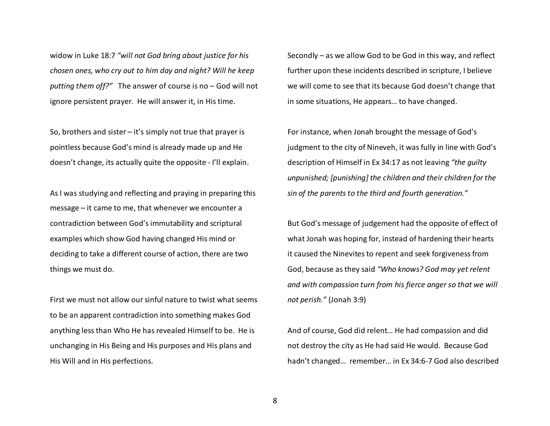widow in Luke 18:7 *"will not God bring about justice for his chosen ones, who cry out to him day and night? Will he keep putting them off?"* The answer of course is no – God will not ignore persistent prayer. He will answer it, in His time.

So, brothers and sister  $-$  it's simply not true that prayer is pointless because God's mind is already made up and He doesn't change, its actually quite the opposite - I'll explain.

As I was studying and reflecting and praying in preparing this message – it came to me, that whenever we encounter a contradiction between God's immutability and scriptural examples which show God having changed His mind or deciding to take a different course of action, there are two things we must do.

First we must not allow our sinful nature to twist what seems to be an apparent contradiction into something makes God anything less than Who He has revealed Himself to be. He is unchanging in His Being and His purposes and His plans and His Will and in His perfections.

Secondly – as we allow God to be God in this way, and reflect further upon these incidents described in scripture, I believe we will come to see that its because God doesn't change that in some situations, He appears… to have changed.

For instance, when Jonah brought the message of God'sjudgment to the city of Nineveh, it was fully in line with God's description of Himself in Ex 34:17 as not leaving *"the guilty unpunished; [punishing] the children and their children for the sin of the parents to the third and fourth generation."*

But God's message of judgement had the opposite of effect of what Jonah was hoping for, instead of hardening their hearts it caused the Ninevites to repent and seek forgiveness from God, because as they said *"Who knows? God may yet relent and with compassion turn from his fierce anger so that we will not perish."* (Jonah 3:9)

And of course, God did relent… He had compassion and did not destroy the city as He had said He would. Because God hadn't changed… remember… in Ex 34:6-7 God also described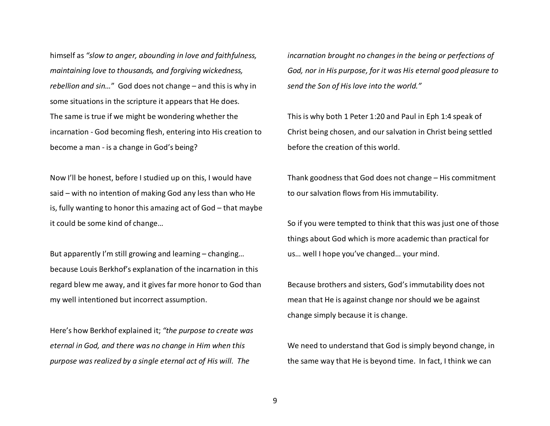himself as *"slow to anger, abounding in love and faithfulness,maintaining love to thousands, and forgiving wickedness, rebellion and sin…*" God does not change – and this is why in some situations in the scripture it appears that He does. The same is true if we might be wondering whether the incarnation - God becoming flesh, entering into His creation to become a man - is a change in God's being?

Now I'll be honest, before I studied up on this, I would have said – with no intention of making God any less than who He is, fully wanting to honor this amazing act of God – that maybe it could be some kind of change…

But apparently I'm still growing and learning – changing… because Louis Berkhof's explanation of the incarnation in this regard blew me away, and it gives far more honor to God than my well intentioned but incorrect assumption.

Here's how Berkhof explained it; *"the purpose to create was eternal in God, and there was no change in Him when this purpose was realized by a single eternal act of His will. The* 

*incarnation brought no changes in the being or perfections of God, nor in His purpose, for it was His eternal good pleasure to send the Son of His love into the world."*

This is why both 1 Peter 1:20 and Paul in Eph 1:4 speak of Christ being chosen, and our salvation in Christ being settled before the creation of this world.

Thank goodness that God does not change – His commitment to our salvation flows from His immutability.

So if you were tempted to think that this was just one of those things about God which is more academic than practical for us… well I hope you've changed… your mind.

Because brothers and sisters, God's immutability does not mean that He is against change nor should we be against change simply because it is change.

We need to understand that God is simply beyond change, in the same way that He is beyond time. In fact, I think we can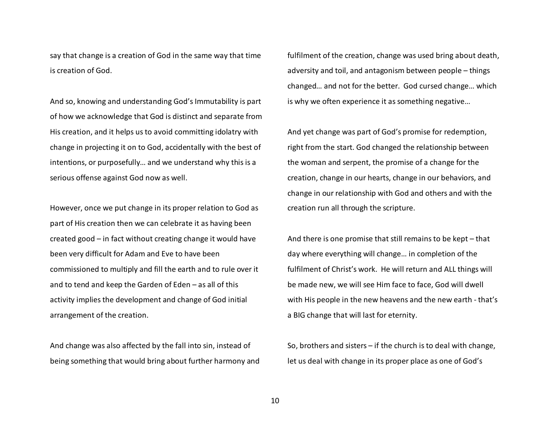say that change is a creation of God in the same way that time is creation of God.

And so, knowing and understanding God's Immutability is part of how we acknowledge that God is distinct and separate from His creation, and it helps us to avoid committing idolatry with change in projecting it on to God, accidentally with the best of intentions, or purposefully… and we understand why this is a serious offense against God now as well.

However, once we put change in its proper relation to God as part of His creation then we can celebrate it as having been created good – in fact without creating change it would have been very difficult for Adam and Eve to have been commissioned to multiply and fill the earth and to rule over it and to tend and keep the Garden of Eden – as all of this activity implies the development and change of God initial arrangement of the creation.

And change was also affected by the fall into sin, instead of being something that would bring about further harmony and fulfilment of the creation, change was used bring about death, adversity and toil, and antagonism between people – things changed… and not for the better. God cursed change… which is why we often experience it as something negative…

And yet change was part of God's promise for redemption, right from the start. God changed the relationship between the woman and serpent, the promise of a change for the creation, change in our hearts, change in our behaviors, and change in our relationship with God and others and with the creation run all through the scripture.

And there is one promise that still remains to be kept – that day where everything will change… in completion of the fulfilment of Christ's work. He will return and ALL things will be made new, we will see Him face to face, God will dwell with His people in the new heavens and the new earth - that's a BIG change that will last for eternity.

So, brothers and sisters – if the church is to deal with change, let us deal with change in its proper place as one of God's